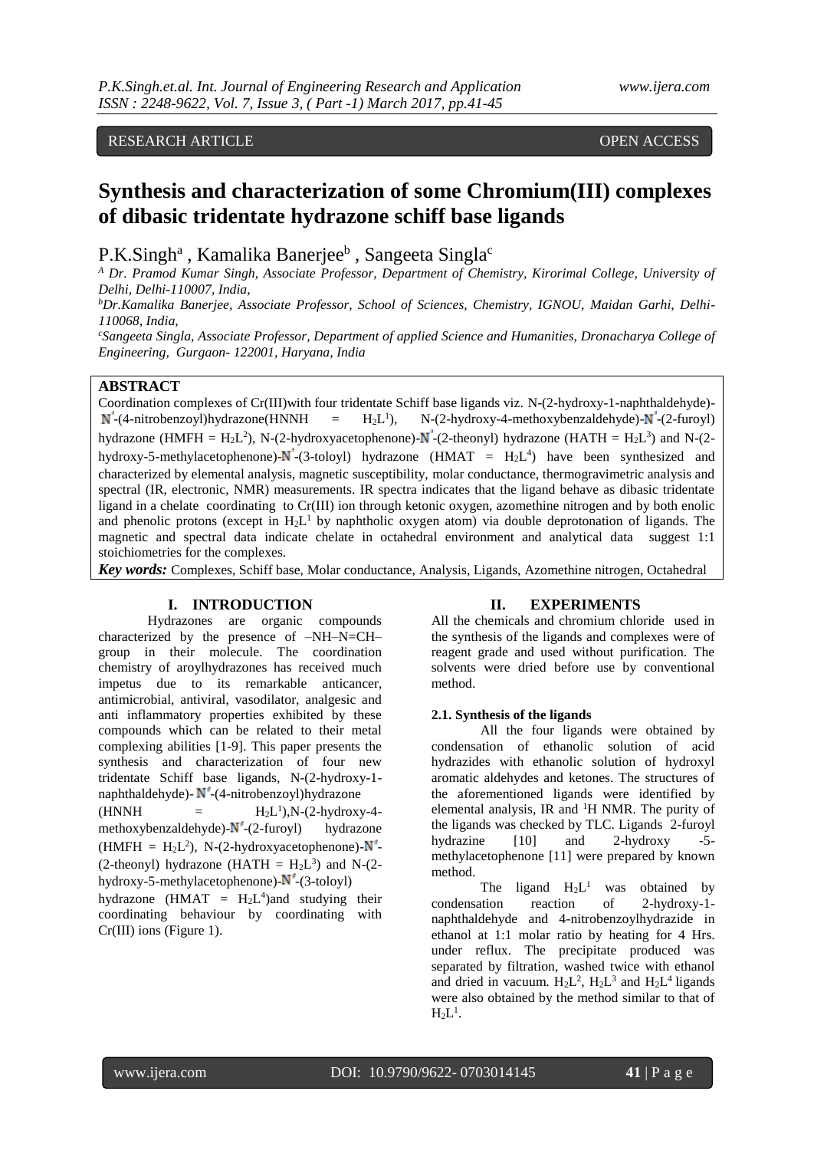# RESEARCH ARTICLE **CONSERVERS** OPEN ACCESS

# **Synthesis and characterization of some Chromium(III) complexes of dibasic tridentate hydrazone schiff base ligands**

P.K.Singh<sup>a</sup>, Kamalika Banerjee<sup>b</sup>, Sangeeta Singla<sup>c</sup>

*<sup>A</sup> Dr. Pramod Kumar Singh, Associate Professor, Department of Chemistry, Kirorimal College, University of Delhi, Delhi-110007, India,* 

*<sup>b</sup>Dr.Kamalika Banerjee, Associate Professor, School of Sciences, Chemistry, IGNOU, Maidan Garhi, Delhi-110068, India,* 

*<sup>c</sup>Sangeeta Singla, Associate Professor, Department of applied Science and Humanities, Dronacharya College of Engineering, Gurgaon- 122001, Haryana, India* 

# **ABSTRACT**

Coordination complexes of Cr(III)with four tridentate Schiff base ligands viz. N-(2-hydroxy-1-naphthaldehyde)-  $N^{\prime}$ -(4-nitrobenzoyl)hydrazone(HNNH =  $H_2L^1$ ),  $N-(2-hydroxy-4-methoxybenzaldehyde) - N'-(2-furoyl)$ hydrazone (HMFH = H<sub>2</sub>L<sup>2</sup>), N-(2-hydroxyacetophenone)-N<sup>-</sup>-(2-theonyl) hydrazone (HATH = H<sub>2</sub>L<sup>3</sup>) and N-(2hydroxy-5-methylacetophenone)- $N'$ -(3-toloyl) hydrazone (HMAT =  $H_2L^4$ ) have been synthesized and characterized by elemental analysis, magnetic susceptibility, molar conductance, thermogravimetric analysis and spectral (IR, electronic, NMR) measurements. IR spectra indicates that the ligand behave as dibasic tridentate ligand in a chelate coordinating to Cr(III) ion through ketonic oxygen, azomethine nitrogen and by both enolic and phenolic protons (except in  $H_2L^1$  by naphtholic oxygen atom) via double deprotonation of ligands. The magnetic and spectral data indicate chelate in octahedral environment and analytical data suggest 1:1 stoichiometries for the complexes.

*Key words:* Complexes, Schiff base, Molar conductance, Analysis, Ligands, Azomethine nitrogen, Octahedral

#### **I. INTRODUCTION**

Hydrazones are organic compounds characterized by the presence of –NH–N=CH– group in their molecule. The coordination chemistry of aroylhydrazones has received much impetus due to its remarkable anticancer, antimicrobial, antiviral, vasodilator, analgesic and anti inflammatory properties exhibited by these compounds which can be related to their metal complexing abilities [1-9]. This paper presents the synthesis and characterization of four new tridentate Schiff base ligands, N-(2-hydroxy-1 naphthaldehyde)- $N'$ -(4-nitrobenzoyl)hydrazone

 $(HNNH)$  $1$ ),N-(2-hydroxy-4methoxybenzaldehyde)- $N'$ -(2-furoyl) hydrazone (HMFH =  $H_2L^2$ ), N-(2-hydroxyacetophenone)- $N'$ -(2-theonyl) hydrazone (HATH =  $H_2L^3$ ) and N-(2hydroxy-5-methylacetophenone)- $N'$ -(3-toloyl)

hydrazone (HMAT =  $H_2L^4$ ) and studying their coordinating behaviour by coordinating with Cr(III) ions (Figure 1).

#### **II. EXPERIMENTS**

All the chemicals and chromium chloride used in the synthesis of the ligands and complexes were of reagent grade and used without purification. The solvents were dried before use by conventional method.

#### **2.1. Synthesis of the ligands**

All the four ligands were obtained by condensation of ethanolic solution of acid hydrazides with ethanolic solution of hydroxyl aromatic aldehydes and ketones. The structures of the aforementioned ligands were identified by elemental analysis, IR and <sup>1</sup>H NMR. The purity of the ligands was checked by TLC. Ligands 2-furoyl hydrazine [10] and 2-hydroxy -5 methylacetophenone [11] were prepared by known method.

The ligand  $H_2L^1$ was obtained by condensation reaction of 2-hydroxy-1 naphthaldehyde and 4-nitrobenzoylhydrazide in ethanol at 1:1 molar ratio by heating for 4 Hrs. under reflux. The precipitate produced was separated by filtration, washed twice with ethanol and dried in vacuum.  $H_2L^2$ ,  $H_2L^3$  and  $H_2L^4$  ligands were also obtained by the method similar to that of  $H_2L^1$ .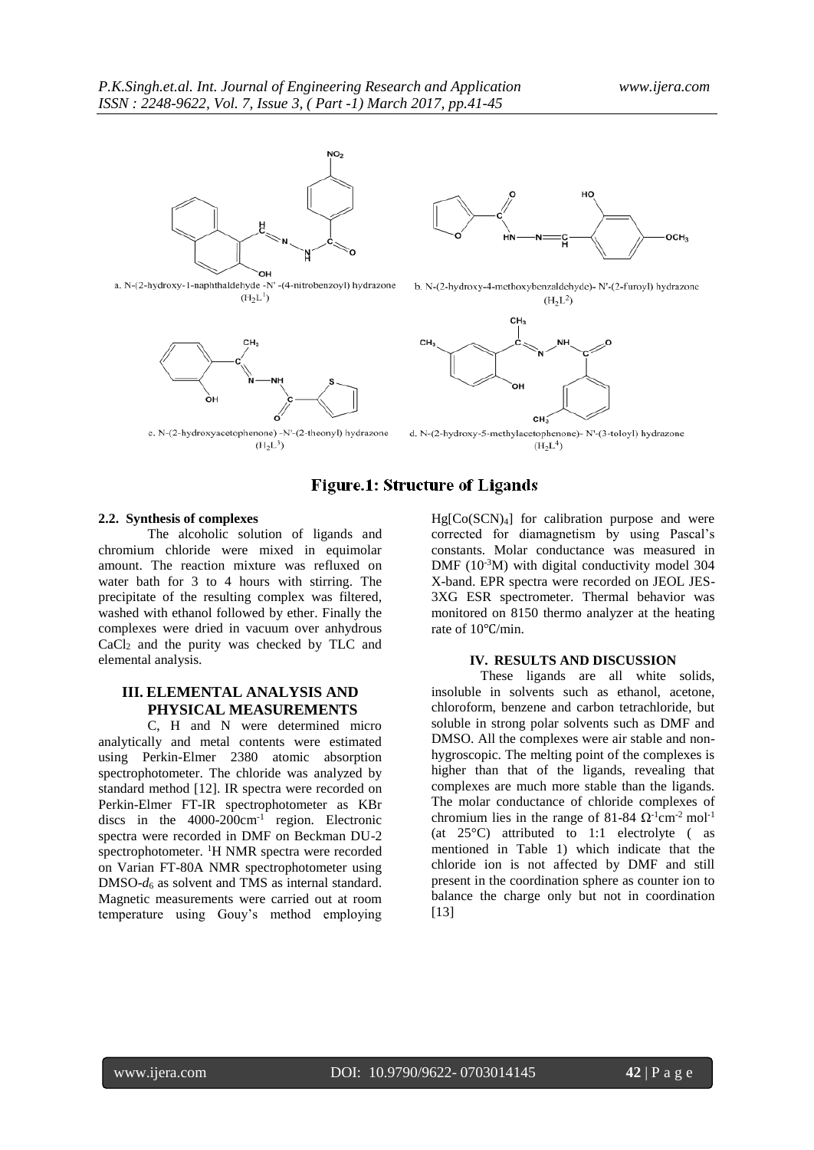



 $(H_2L^1)$ 

c. N-(2-hydroxyacetophenone) -N'-(2-theonyl) hydrazone  $(H_2L^3)$ 



b. N-(2-hydroxy-4-methoxybenzaldehyde)- N'-(2-furoyl) hydrazone  $(H<sub>2</sub>L<sup>2</sup>)$ 



 $(H<sub>2</sub>L<sup>4</sup>)$ 

# **Figure.1: Structure of Ligands**

#### **2.2. Synthesis of complexes**

The alcoholic solution of ligands and chromium chloride were mixed in equimolar amount. The reaction mixture was refluxed on water bath for 3 to 4 hours with stirring. The precipitate of the resulting complex was filtered, washed with ethanol followed by ether. Finally the complexes were dried in vacuum over anhydrous CaCl<sup>2</sup> and the purity was checked by TLC and elemental analysis.

# **III. ELEMENTAL ANALYSIS AND PHYSICAL MEASUREMENTS**

C, H and N were determined micro analytically and metal contents were estimated using Perkin-Elmer 2380 atomic absorption spectrophotometer. The chloride was analyzed by standard method [12]. IR spectra were recorded on Perkin-Elmer FT-IR spectrophotometer as KBr discs in the  $4000-200$ cm<sup>-1</sup> region. Electronic spectra were recorded in DMF on Beckman DU-2 spectrophotometer. <sup>1</sup>H NMR spectra were recorded on Varian FT-80A NMR spectrophotometer using DMSO-*d*<sup>6</sup> as solvent and TMS as internal standard. Magnetic measurements were carried out at room temperature using Gouy's method employing

 $Hg[Co(SCN)<sub>4</sub>]$  for calibration purpose and were corrected for diamagnetism by using Pascal's constants. Molar conductance was measured in DMF (10<sup>-3</sup>M) with digital conductivity model 304 X-band. EPR spectra were recorded on JEOL JES-3XG ESR spectrometer. Thermal behavior was monitored on 8150 thermo analyzer at the heating rate of 10℃/min.

#### **IV. RESULTS AND DISCUSSION**

These ligands are all white solids, insoluble in solvents such as ethanol, acetone, chloroform, benzene and carbon tetrachloride, but soluble in strong polar solvents such as DMF and DMSO. All the complexes were air stable and nonhygroscopic. The melting point of the complexes is higher than that of the ligands, revealing that complexes are much more stable than the ligands. The molar conductance of chloride complexes of chromium lies in the range of 81-84  $\Omega$ <sup>-1</sup>cm<sup>-2</sup> mol<sup>-1</sup> (at 25°C) attributed to 1:1 electrolyte ( as mentioned in Table 1) which indicate that the chloride ion is not affected by DMF and still present in the coordination sphere as counter ion to balance the charge only but not in coordination [13]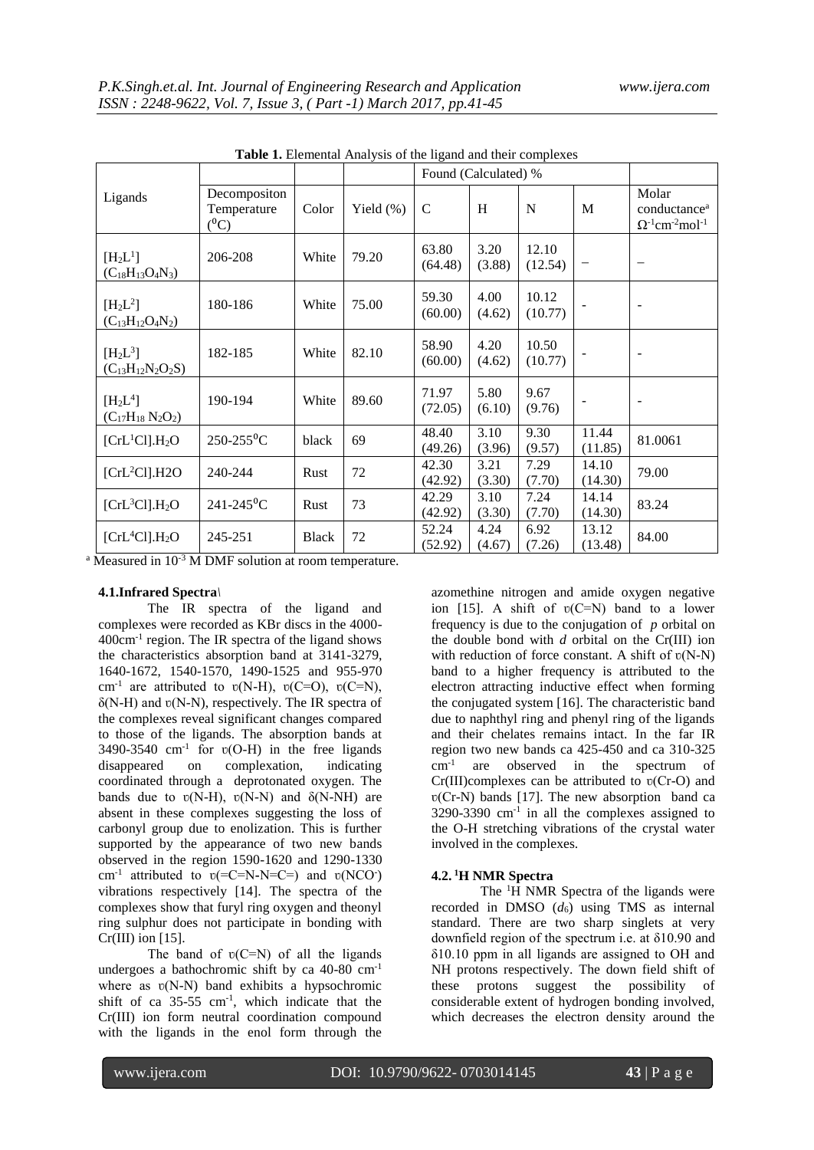|                                                            |                                        |              |              | Found (Calculated) % |                |                  |                  |                                                                                       |
|------------------------------------------------------------|----------------------------------------|--------------|--------------|----------------------|----------------|------------------|------------------|---------------------------------------------------------------------------------------|
| Ligands                                                    | Decompositon<br>Temperature<br>$(^0C)$ | Color        | Yield $(\%)$ | $\mathcal{C}$        | H              | N                | M                | Molar<br>conductance <sup>a</sup><br>$\Omega^{-1}$ cm <sup>-2</sup> mol <sup>-1</sup> |
| [H <sub>2</sub> L <sup>1</sup> ]<br>$(C_{18}H_{13}O_4N_3)$ | 206-208                                | White        | 79.20        | 63.80<br>(64.48)     | 3.20<br>(3.88) | 12.10<br>(12.54) |                  | $\overline{\phantom{m}}$                                                              |
| $[H_2L^2]$<br>$(C_{13}H_{12}O_4N_2)$                       | 180-186                                | White        | 75.00        | 59.30<br>(60.00)     | 4.00<br>(4.62) | 10.12<br>(10.77) |                  | $\overline{\phantom{a}}$                                                              |
| $[H_2L^3]$<br>$(C_{13}H_{12}N_2O_2S)$                      | 182-185                                | White        | 82.10        | 58.90<br>(60.00)     | 4.20<br>(4.62) | 10.50<br>(10.77) |                  | $\blacksquare$                                                                        |
| $[H_2L^4]$<br>$(C_{17}H_{18} N_2O_2)$                      | 190-194                                | White        | 89.60        | 71.97<br>(72.05)     | 5.80<br>(6.10) | 9.67<br>(9.76)   |                  | $\blacksquare$                                                                        |
| $[CrL1Cl]$ .H <sub>2</sub> O                               | $250 - 255$ <sup>o</sup> C             | black        | 69           | 48.40<br>(49.26)     | 3.10<br>(3.96) | 9.30<br>(9.57)   | 11.44<br>(11.85) | 81.0061                                                                               |
| $[CrL2Cl]$ .H2O                                            | 240-244                                | Rust         | 72           | 42.30<br>(42.92)     | 3.21<br>(3.30) | 7.29<br>(7.70)   | 14.10<br>(14.30) | 79.00                                                                                 |
| $[CrL3Cl]$ .H <sub>2</sub> O                               | $241 - 245$ <sup>o</sup> C             | Rust         | 73           | 42.29<br>(42.92)     | 3.10<br>(3.30) | 7.24<br>(7.70)   | 14.14<br>(14.30) | 83.24                                                                                 |
| [CrL <sup>4</sup> Cl].H <sub>2</sub> O                     | 245-251                                | <b>Black</b> | 72           | 52.24<br>(52.92)     | 4.24<br>(4.67) | 6.92<br>(7.26)   | 13.12<br>(13.48) | 84.00                                                                                 |

**Table 1.** Elemental Analysis of the ligand and their complexes

<sup>a</sup> Measured in 10<sup>-3</sup> M DMF solution at room temperature.

# **4.1.Infrared Spectra***\*

The IR spectra of the ligand and complexes were recorded as KBr discs in the 4000- 400cm-1 region. The IR spectra of the ligand shows the characteristics absorption band at 3141-3279, 1640-1672, 1540-1570, 1490-1525 and 955-970 cm<sup>-1</sup> are attributed to  $v(N-H)$ ,  $v(C=O)$ ,  $v(C=N)$ ,  $\delta(N-H)$  and  $v(N-N)$ , respectively. The IR spectra of the complexes reveal significant changes compared to those of the ligands. The absorption bands at 3490-3540 cm<sup>-1</sup> for  $v(O-H)$  in the free ligands disappeared on complexation, indicating coordinated through a deprotonated oxygen. The bands due to  $v(N-H)$ ,  $v(N-N)$  and  $\delta(N-NH)$  are absent in these complexes suggesting the loss of carbonyl group due to enolization. This is further supported by the appearance of two new bands observed in the region 1590-1620 and 1290-1330 cm<sup>-1</sup> attributed to  $v(=C=N-N=C=)$  and  $v(NCO^-)$ vibrations respectively [14]. The spectra of the complexes show that furyl ring oxygen and theonyl ring sulphur does not participate in bonding with  $Cr(III)$  ion [15].

The band of  $v(C=N)$  of all the ligands undergoes a bathochromic shift by ca 40-80 cm-1 where as  $v(N-N)$  band exhibits a hypsochromic shift of ca  $35-55$  cm<sup>-1</sup>, which indicate that the Cr(III) ion form neutral coordination compound with the ligands in the enol form through the

azomethine nitrogen and amide oxygen negative ion [15]. A shift of  $v(C=N)$  band to a lower frequency is due to the conjugation of *p* orbital on the double bond with *d* orbital on the Cr(III) ion with reduction of force constant. A shift of  $v(N-N)$ band to a higher frequency is attributed to the electron attracting inductive effect when forming the conjugated system [16]. The characteristic band due to naphthyl ring and phenyl ring of the ligands and their chelates remains intact. In the far IR region two new bands ca 425-450 and ca 310-325 cm-1 are observed in the spectrum of  $Cr(III)$ complexes can be attributed to  $v(Cr-O)$  and  $v(Cr-N)$  bands [17]. The new absorption band ca  $3290-3390$  cm<sup>-1</sup> in all the complexes assigned to the O-H stretching vibrations of the crystal water involved in the complexes.

## **4.2. <sup>1</sup>H NMR Spectra**

The <sup>1</sup>H NMR Spectra of the ligands were recorded in DMSO  $(d_6)$  using TMS as internal standard. There are two sharp singlets at very downfield region of the spectrum i.e. at δ10.90 and δ10.10 ppm in all ligands are assigned to OH and NH protons respectively. The down field shift of these protons suggest the possibility of considerable extent of hydrogen bonding involved, which decreases the electron density around the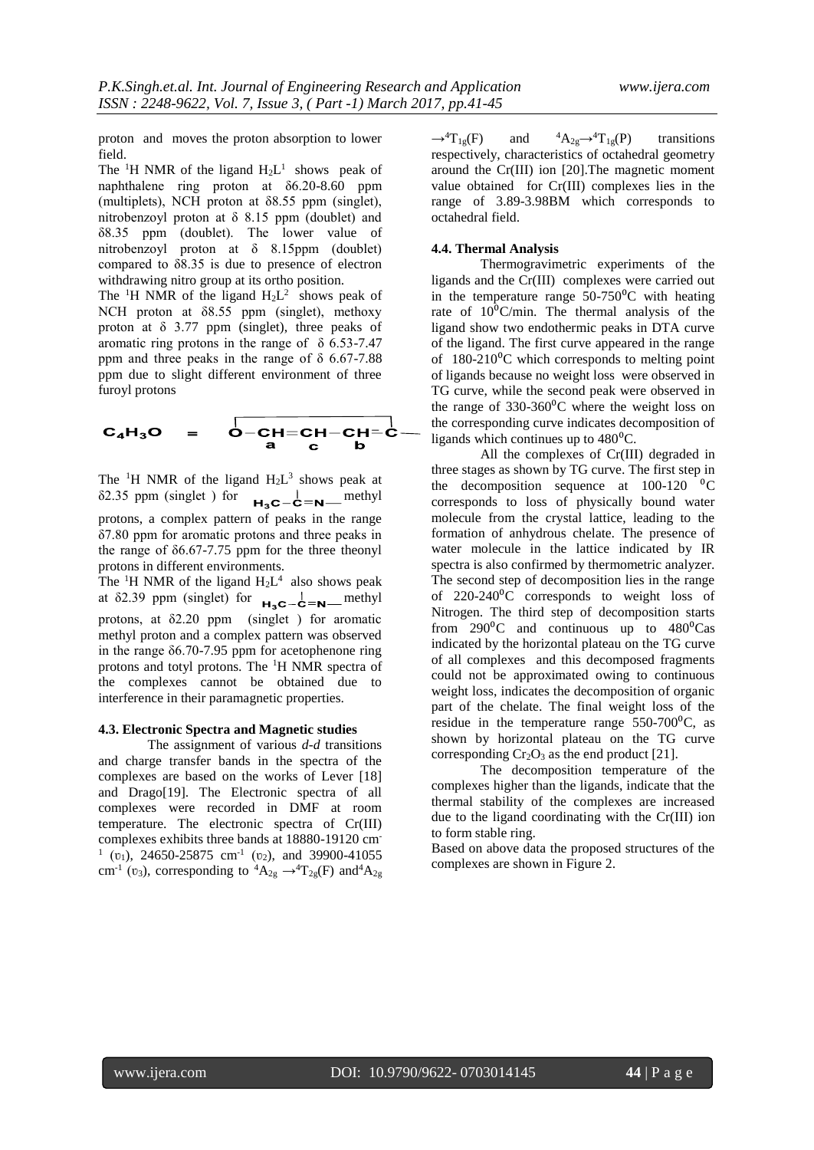proton and moves the proton absorption to lower field.

The <sup>1</sup>H NMR of the ligand  $H_2L^1$  shows peak of naphthalene ring proton at δ6.20-8.60 ppm (multiplets), NCH proton at  $\delta$ 8.55 ppm (singlet), nitrobenzoyl proton at δ 8.15 ppm (doublet) and δ8.35 ppm (doublet). The lower value of nitrobenzoyl proton at δ 8.15ppm (doublet) compared to δ8.35 is due to presence of electron withdrawing nitro group at its ortho position.

The <sup>1</sup>H NMR of the ligand  $H_2L^2$  shows peak of NCH proton at δ8.55 ppm (singlet), methoxy proton at  $\delta$  3.77 ppm (singlet), three peaks of aromatic ring protons in the range of  $\delta$  6.53-7.47 ppm and three peaks in the range of  $\delta$  6.67-7.88 ppm due to slight different environment of three furoyl protons

$$
C_4H_3O = O-CH=CH-CH=C-
$$

$$
O-CH=CH-CH=C-
$$

$$
O
$$

The <sup>1</sup>H NMR of the ligand  $H_2L^3$  shows peak at  $\delta$ 2.35 ppm (singlet) for  $H_3C-\overset{!}{C}=N$  methyl protons, a complex pattern of peaks in the range δ7.80 ppm for aromatic protons and three peaks in the range of  $\delta$ 6.67-7.75 ppm for the three theonyl protons in different environments.

The <sup>1</sup>H NMR of the ligand  $H_2L^4$  also shows peak at  $\delta$ 2.39 ppm (singlet) for  $H_3C-\frac{1}{C}=N$  methyl protons, at δ2.20 ppm (singlet ) for aromatic methyl proton and a complex pattern was observed in the range  $\delta$ 6.70-7.95 ppm for acetophenone ring protons and totyl protons. The <sup>1</sup>H NMR spectra of the complexes cannot be obtained due to interference in their paramagnetic properties.

#### **4.3. Electronic Spectra and Magnetic studies**

The assignment of various *d*-*d* transitions and charge transfer bands in the spectra of the complexes are based on the works of Lever [18] and Drago[19]. The Electronic spectra of all complexes were recorded in DMF at room temperature. The electronic spectra of Cr(III) complexes exhibits three bands at 18880-19120 cm- $1$  ( $v_1$ ), 24650-25875 cm<sup>-1</sup> ( $v_2$ ), and 39900-41055 cm<sup>-1</sup> ( $\upsilon_3$ ), corresponding to <sup>4</sup>A<sub>2g</sub>  $\rightarrow$ <sup>4</sup>T<sub>2g</sub>(F) and<sup>4</sup>A<sub>2g</sub>

 $\rightarrow$ <sup>4</sup>T<sub>1g</sub>(F) and <sup>4</sup>A<sub>2g</sub> $\rightarrow$ <sup>4</sup>T<sub>1g</sub>(P) transitions respectively, characteristics of octahedral geometry around the Cr(III) ion [20].The magnetic moment value obtained for Cr(III) complexes lies in the range of 3.89-3.98BM which corresponds to octahedral field.

#### **4.4. Thermal Analysis**

Thermogravimetric experiments of the ligands and the Cr(III) complexes were carried out in the temperature range  $50-750$ <sup>o</sup>C with heating rate of  $10^{\circ}$ C/min. The thermal analysis of the ligand show two endothermic peaks in DTA curve of the ligand. The first curve appeared in the range of  $180-210$ <sup>o</sup>C which corresponds to melting point of ligands because no weight loss were observed in TG curve, while the second peak were observed in the range of  $330-360^{\circ}$ C where the weight loss on the corresponding curve indicates decomposition of ligands which continues up to  $480^{\circ}$ C.

All the complexes of Cr(III) degraded in three stages as shown by TG curve. The first step in the decomposition sequence at  $100-120 \, \mathrm{^0C}$ corresponds to loss of physically bound water molecule from the crystal lattice, leading to the formation of anhydrous chelate. The presence of water molecule in the lattice indicated by IR spectra is also confirmed by thermometric analyzer. The second step of decomposition lies in the range of  $220-240\degree C$  corresponds to weight loss of Nitrogen. The third step of decomposition starts from  $290\textdegree$ C and continuous up to  $480\textdegree$ Cas indicated by the horizontal plateau on the TG curve of all complexes and this decomposed fragments could not be approximated owing to continuous weight loss, indicates the decomposition of organic part of the chelate. The final weight loss of the residue in the temperature range  $550-700^{\circ}$ C, as shown by horizontal plateau on the TG curve corresponding  $Cr_2O_3$  as the end product [21].

The decomposition temperature of the complexes higher than the ligands, indicate that the thermal stability of the complexes are increased due to the ligand coordinating with the Cr(III) ion to form stable ring.

Based on above data the proposed structures of the complexes are shown in Figure 2.